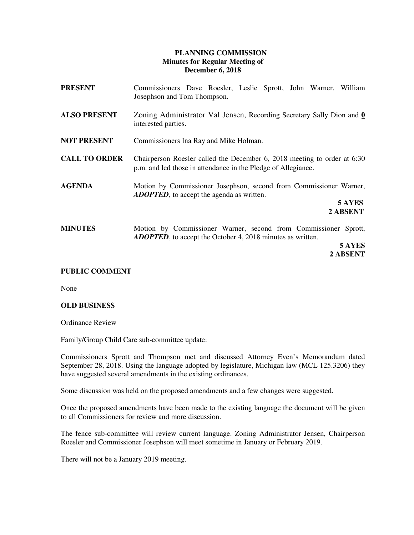## **PLANNING COMMISSION Minutes for Regular Meeting of December 6, 2018**

| <b>PRESENT</b>       | Commissioners Dave Roesler, Leslie Sprott, John Warner, William<br>Josephson and Tom Thompson.                                                              |
|----------------------|-------------------------------------------------------------------------------------------------------------------------------------------------------------|
| <b>ALSO PRESENT</b>  | Zoning Administrator Val Jensen, Recording Secretary Sally Dion and $\underline{0}$<br>interested parties.                                                  |
| <b>NOT PRESENT</b>   | Commissioners Ina Ray and Mike Holman.                                                                                                                      |
| <b>CALL TO ORDER</b> | Chairperson Roesler called the December 6, 2018 meeting to order at 6:30<br>p.m. and led those in attendance in the Pledge of Allegiance.                   |
| <b>AGENDA</b>        | Motion by Commissioner Josephson, second from Commissioner Warner,<br><b>ADOPTED</b> , to accept the agenda as written.<br>5 AYES<br>2 ABSENT               |
| <b>MINUTES</b>       | Motion by Commissioner Warner, second from Commissioner Sprott,<br><b>ADOPTED</b> , to accept the October 4, 2018 minutes as written.<br>5 AYES<br>2 ABSENT |

## **PUBLIC COMMENT**

None

## **OLD BUSINESS**

Ordinance Review

Family/Group Child Care sub-committee update:

 Commissioners Sprott and Thompson met and discussed Attorney Even's Memorandum dated September 28, 2018. Using the language adopted by legislature, Michigan law (MCL 125.3206) they have suggested several amendments in the existing ordinances.

Some discussion was held on the proposed amendments and a few changes were suggested.

 Once the proposed amendments have been made to the existing language the document will be given to all Commissioners for review and more discussion.

The fence sub-committee will review current language. Zoning Administrator Jensen, Chairperson Roesler and Commissioner Josephson will meet sometime in January or February 2019.

There will not be a January 2019 meeting.